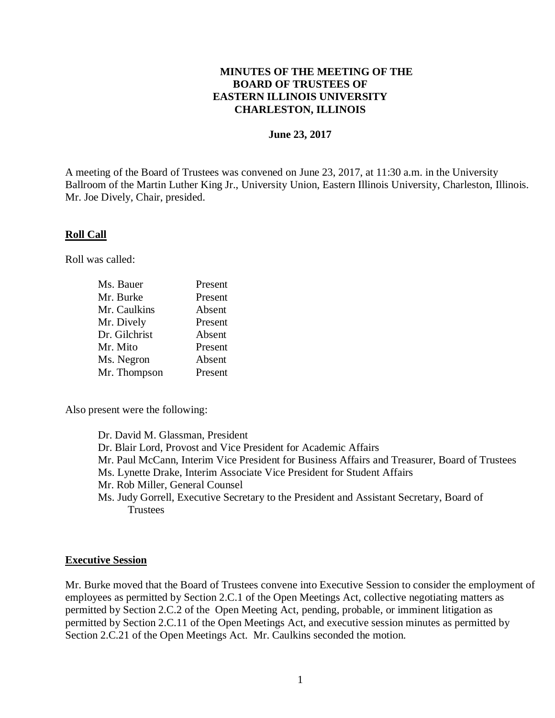## **MINUTES OF THE MEETING OF THE BOARD OF TRUSTEES OF EASTERN ILLINOIS UNIVERSITY CHARLESTON, ILLINOIS**

#### **June 23, 2017**

A meeting of the Board of Trustees was convened on June 23, 2017, at 11:30 a.m. in the University Ballroom of the Martin Luther King Jr., University Union, Eastern Illinois University, Charleston, Illinois. Mr. Joe Dively, Chair, presided.

### **Roll Call**

Roll was called:

| Ms. Bauer     | Present |
|---------------|---------|
| Mr. Burke     | Present |
| Mr. Caulkins  | Absent  |
| Mr. Dively    | Present |
| Dr. Gilchrist | Absent  |
| Mr. Mito      | Present |
| Ms. Negron    | Absent  |
| Mr. Thompson  | Present |

Also present were the following:

|  |  | Dr. David M. Glassman, President |  |
|--|--|----------------------------------|--|
|--|--|----------------------------------|--|

- Dr. Blair Lord, Provost and Vice President for Academic Affairs
- Mr. Paul McCann, Interim Vice President for Business Affairs and Treasurer, Board of Trustees
- Ms. Lynette Drake, Interim Associate Vice President for Student Affairs
- Mr. Rob Miller, General Counsel
- Ms. Judy Gorrell, Executive Secretary to the President and Assistant Secretary, Board of **Trustees**

#### **Executive Session**

Mr. Burke moved that the Board of Trustees convene into Executive Session to consider the employment of employees as permitted by Section 2.C.1 of the Open Meetings Act, collective negotiating matters as permitted by Section 2.C.2 of the Open Meeting Act, pending, probable, or imminent litigation as permitted by Section 2.C.11 of the Open Meetings Act, and executive session minutes as permitted by Section 2.C.21 of the Open Meetings Act. Mr. Caulkins seconded the motion.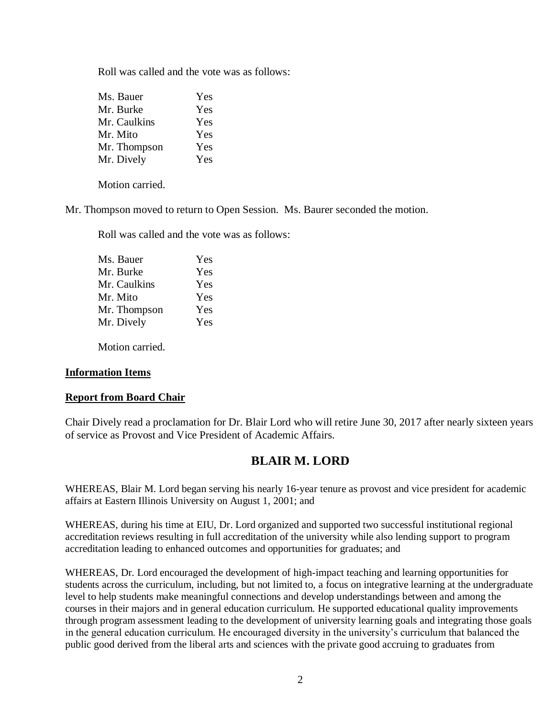Roll was called and the vote was as follows:

| Ms. Bauer    | Yes |
|--------------|-----|
| Mr. Burke    | Yes |
| Mr. Caulkins | Yes |
| Mr. Mito     | Yes |
| Mr. Thompson | Yes |
| Mr. Dively   | Yes |

Motion carried.

Mr. Thompson moved to return to Open Session. Ms. Baurer seconded the motion.

Roll was called and the vote was as follows:

| Ms. Bauer    | Yes |
|--------------|-----|
| Mr. Burke    | Yes |
| Mr. Caulkins | Yes |
| Mr. Mito     | Yes |
| Mr. Thompson | Yes |
| Mr. Dively   | Yes |

Motion carried.

## **Information Items**

## **Report from Board Chair**

Chair Dively read a proclamation for Dr. Blair Lord who will retire June 30, 2017 after nearly sixteen years of service as Provost and Vice President of Academic Affairs.

# **BLAIR M. LORD**

WHEREAS, Blair M. Lord began serving his nearly 16-year tenure as provost and vice president for academic affairs at Eastern Illinois University on August 1, 2001; and

WHEREAS, during his time at EIU, Dr. Lord organized and supported two successful institutional regional accreditation reviews resulting in full accreditation of the university while also lending support to program accreditation leading to enhanced outcomes and opportunities for graduates; and

WHEREAS, Dr. Lord encouraged the development of high-impact teaching and learning opportunities for students across the curriculum, including, but not limited to, a focus on integrative learning at the undergraduate level to help students make meaningful connections and develop understandings between and among the courses in their majors and in general education curriculum. He supported educational quality improvements through program assessment leading to the development of university learning goals and integrating those goals in the general education curriculum. He encouraged diversity in the university's curriculum that balanced the public good derived from the liberal arts and sciences with the private good accruing to graduates from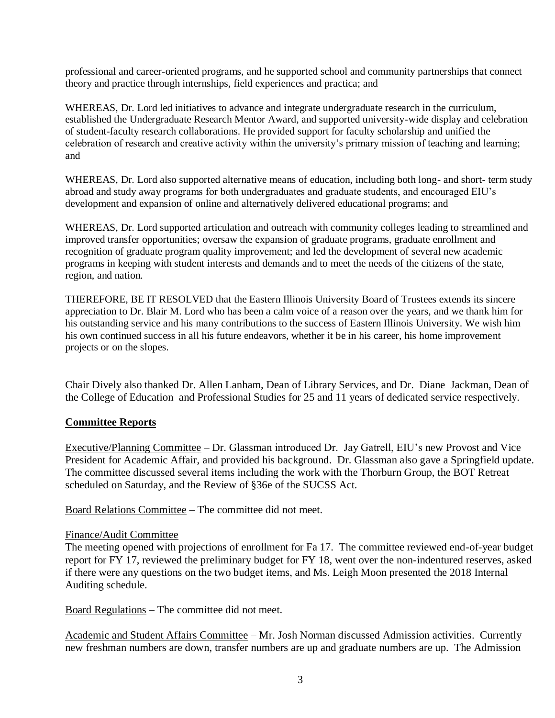professional and career-oriented programs, and he supported school and community partnerships that connect theory and practice through internships, field experiences and practica; and

WHEREAS, Dr. Lord led initiatives to advance and integrate undergraduate research in the curriculum, established the Undergraduate Research Mentor Award, and supported university-wide display and celebration of student-faculty research collaborations. He provided support for faculty scholarship and unified the celebration of research and creative activity within the university's primary mission of teaching and learning; and

WHEREAS, Dr. Lord also supported alternative means of education, including both long- and short- term study abroad and study away programs for both undergraduates and graduate students, and encouraged EIU's development and expansion of online and alternatively delivered educational programs; and

WHEREAS, Dr. Lord supported articulation and outreach with community colleges leading to streamlined and improved transfer opportunities; oversaw the expansion of graduate programs, graduate enrollment and recognition of graduate program quality improvement; and led the development of several new academic programs in keeping with student interests and demands and to meet the needs of the citizens of the state, region, and nation.

THEREFORE, BE IT RESOLVED that the Eastern Illinois University Board of Trustees extends its sincere appreciation to Dr. Blair M. Lord who has been a calm voice of a reason over the years, and we thank him for his outstanding service and his many contributions to the success of Eastern Illinois University. We wish him his own continued success in all his future endeavors, whether it be in his career, his home improvement projects or on the slopes.

Chair Dively also thanked Dr. Allen Lanham, Dean of Library Services, and Dr. Diane Jackman, Dean of the College of Education and Professional Studies for 25 and 11 years of dedicated service respectively.

## **Committee Reports**

Executive/Planning Committee – Dr. Glassman introduced Dr. Jay Gatrell, EIU's new Provost and Vice President for Academic Affair, and provided his background. Dr. Glassman also gave a Springfield update. The committee discussed several items including the work with the Thorburn Group, the BOT Retreat scheduled on Saturday, and the Review of §36e of the SUCSS Act.

Board Relations Committee – The committee did not meet.

## Finance/Audit Committee

The meeting opened with projections of enrollment for Fa 17. The committee reviewed end-of-year budget report for FY 17, reviewed the preliminary budget for FY 18, went over the non-indentured reserves, asked if there were any questions on the two budget items, and Ms. Leigh Moon presented the 2018 Internal Auditing schedule.

Board Regulations – The committee did not meet.

Academic and Student Affairs Committee – Mr. Josh Norman discussed Admission activities. Currently new freshman numbers are down, transfer numbers are up and graduate numbers are up. The Admission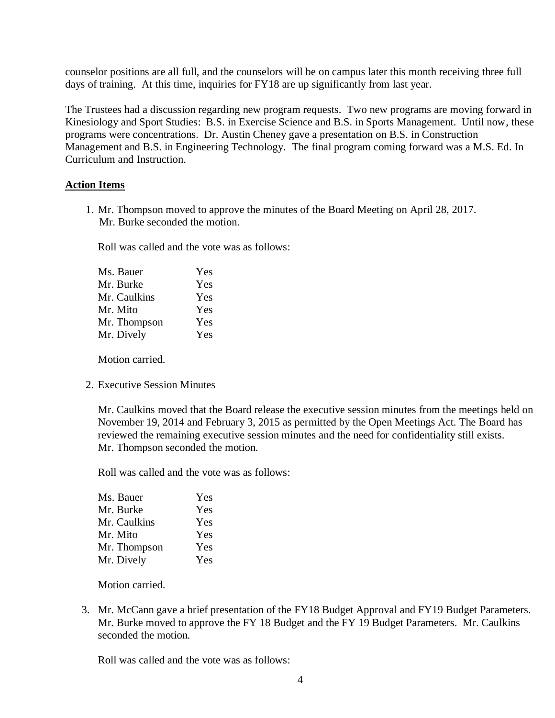counselor positions are all full, and the counselors will be on campus later this month receiving three full days of training. At this time, inquiries for FY18 are up significantly from last year.

The Trustees had a discussion regarding new program requests. Two new programs are moving forward in Kinesiology and Sport Studies: B.S. in Exercise Science and B.S. in Sports Management. Until now, these programs were concentrations. Dr. Austin Cheney gave a presentation on B.S. in Construction Management and B.S. in Engineering Technology. The final program coming forward was a M.S. Ed. In Curriculum and Instruction.

## **Action Items**

1. Mr. Thompson moved to approve the minutes of the Board Meeting on April 28, 2017. Mr. Burke seconded the motion.

Roll was called and the vote was as follows:

| Ms. Bauer    | Yes |
|--------------|-----|
| Mr. Burke    | Yes |
| Mr. Caulkins | Yes |
| Mr. Mito     | Yes |
| Mr. Thompson | Yes |
| Mr. Dively   | Yes |

Motion carried.

2. Executive Session Minutes

Mr. Caulkins moved that the Board release the executive session minutes from the meetings held on November 19, 2014 and February 3, 2015 as permitted by the Open Meetings Act. The Board has reviewed the remaining executive session minutes and the need for confidentiality still exists. Mr. Thompson seconded the motion.

Roll was called and the vote was as follows:

| Yes |
|-----|
| Yes |
| Yes |
| Yes |
| Yes |
| Yes |
|     |

Motion carried.

3. Mr. McCann gave a brief presentation of the FY18 Budget Approval and FY19 Budget Parameters. Mr. Burke moved to approve the FY 18 Budget and the FY 19 Budget Parameters. Mr. Caulkins seconded the motion.

Roll was called and the vote was as follows: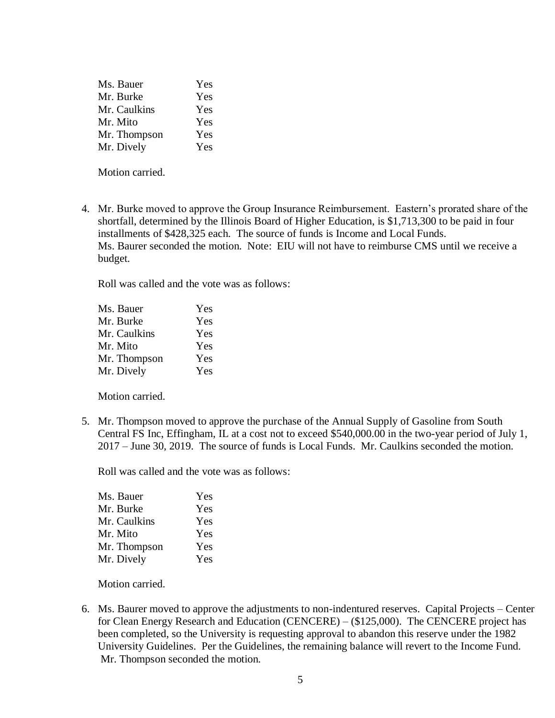| Ms. Bauer    | Yes |
|--------------|-----|
| Mr. Burke    | Yes |
| Mr. Caulkins | Yes |
| Mr. Mito     | Yes |
| Mr. Thompson | Yes |
| Mr. Dively   | Yes |

Motion carried.

4. Mr. Burke moved to approve the Group Insurance Reimbursement. Eastern's prorated share of the shortfall, determined by the Illinois Board of Higher Education, is \$1,713,300 to be paid in four installments of \$428,325 each. The source of funds is Income and Local Funds. Ms. Baurer seconded the motion. Note: EIU will not have to reimburse CMS until we receive a budget.

Roll was called and the vote was as follows:

| Ms. Bauer    | Yes        |
|--------------|------------|
| Mr. Burke    | Yes        |
| Mr. Caulkins | Yes        |
| Mr. Mito     | Yes        |
| Mr. Thompson | Yes        |
| Mr. Dively   | <b>Yes</b> |

Motion carried.

5. Mr. Thompson moved to approve the purchase of the Annual Supply of Gasoline from South Central FS Inc, Effingham, IL at a cost not to exceed \$540,000.00 in the two-year period of July 1, 2017 – June 30, 2019. The source of funds is Local Funds. Mr. Caulkins seconded the motion.

Roll was called and the vote was as follows:

| Yes |
|-----|
| Yes |
| Yes |
| Yes |
| Yes |
| Yes |
|     |

Motion carried.

6. Ms. Baurer moved to approve the adjustments to non-indentured reserves. Capital Projects – Center for Clean Energy Research and Education (CENCERE) – (\$125,000). The CENCERE project has been completed, so the University is requesting approval to abandon this reserve under the 1982 University Guidelines. Per the Guidelines, the remaining balance will revert to the Income Fund. Mr. Thompson seconded the motion.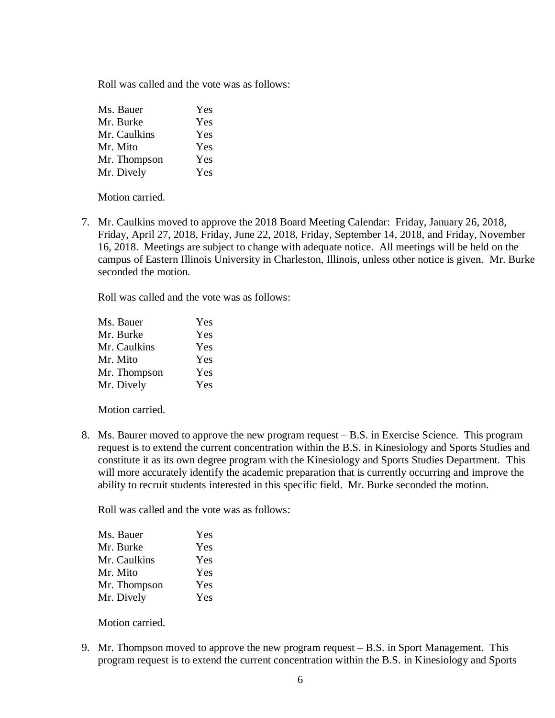Roll was called and the vote was as follows:

| Ms. Bauer    | Yes |
|--------------|-----|
| Mr. Burke    | Yes |
| Mr. Caulkins | Yes |
| Mr. Mito     | Yes |
| Mr. Thompson | Yes |
| Mr. Dively   | Yes |

Motion carried.

7. Mr. Caulkins moved to approve the 2018 Board Meeting Calendar: Friday, January 26, 2018, Friday, April 27, 2018, Friday, June 22, 2018, Friday, September 14, 2018, and Friday, November 16, 2018. Meetings are subject to change with adequate notice. All meetings will be held on the campus of Eastern Illinois University in Charleston, Illinois, unless other notice is given. Mr. Burke seconded the motion.

Roll was called and the vote was as follows:

| Ms. Bauer    | Yes |
|--------------|-----|
| Mr. Burke    | Yes |
| Mr. Caulkins | Yes |
| Mr. Mito     | Yes |
| Mr. Thompson | Yes |
| Mr. Dively   | Yes |

Motion carried.

8. Ms. Baurer moved to approve the new program request – B.S. in Exercise Science. This program request is to extend the current concentration within the B.S. in Kinesiology and Sports Studies and constitute it as its own degree program with the Kinesiology and Sports Studies Department. This will more accurately identify the academic preparation that is currently occurring and improve the ability to recruit students interested in this specific field. Mr. Burke seconded the motion.

Roll was called and the vote was as follows:

| Ms. Bauer    | Yes |
|--------------|-----|
| Mr. Burke    | Yes |
| Mr. Caulkins | Yes |
| Mr. Mito     | Yes |
| Mr. Thompson | Yes |
| Mr. Dively   | Yes |

Motion carried.

9. Mr. Thompson moved to approve the new program request – B.S. in Sport Management. This program request is to extend the current concentration within the B.S. in Kinesiology and Sports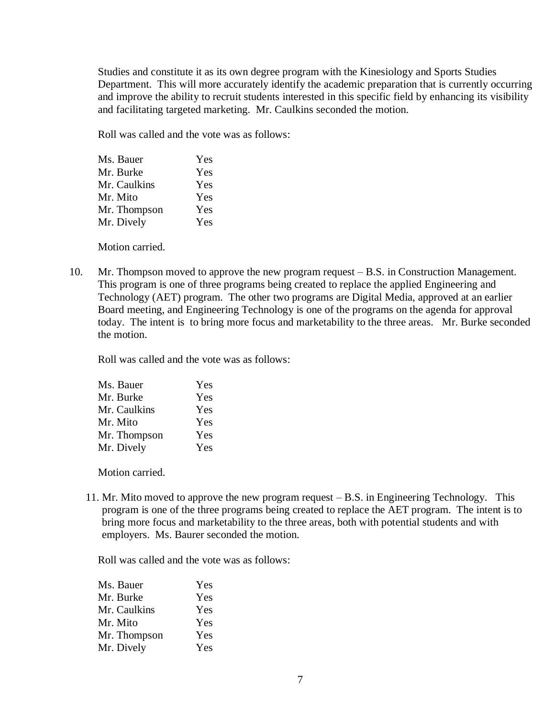Studies and constitute it as its own degree program with the Kinesiology and Sports Studies Department. This will more accurately identify the academic preparation that is currently occurring and improve the ability to recruit students interested in this specific field by enhancing its visibility and facilitating targeted marketing. Mr. Caulkins seconded the motion.

Roll was called and the vote was as follows:

| Ms. Bauer    | Yes |
|--------------|-----|
| Mr. Burke    | Yes |
| Mr. Caulkins | Yes |
| Mr. Mito     | Yes |
| Mr. Thompson | Yes |
| Mr. Dively   | Yes |
|              |     |

Motion carried.

10. Mr. Thompson moved to approve the new program request – B.S. in Construction Management. This program is one of three programs being created to replace the applied Engineering and Technology (AET) program. The other two programs are Digital Media, approved at an earlier Board meeting, and Engineering Technology is one of the programs on the agenda for approval today. The intent is to bring more focus and marketability to the three areas. Mr. Burke seconded the motion.

Roll was called and the vote was as follows:

| Ms. Bauer    | Yes |
|--------------|-----|
| Mr. Burke    | Yes |
| Mr. Caulkins | Yes |
| Mr. Mito     | Yes |
| Mr. Thompson | Yes |
| Mr. Dively   | Yes |

Motion carried.

11. Mr. Mito moved to approve the new program request – B.S. in Engineering Technology. This program is one of the three programs being created to replace the AET program. The intent is to bring more focus and marketability to the three areas, both with potential students and with employers. Ms. Baurer seconded the motion.

Roll was called and the vote was as follows:

| Ms. Bauer    | Yes |
|--------------|-----|
| Mr. Burke    | Yes |
| Mr. Caulkins | Yes |
| Mr. Mito     | Yes |
| Mr. Thompson | Yes |
| Mr. Dively   | Yes |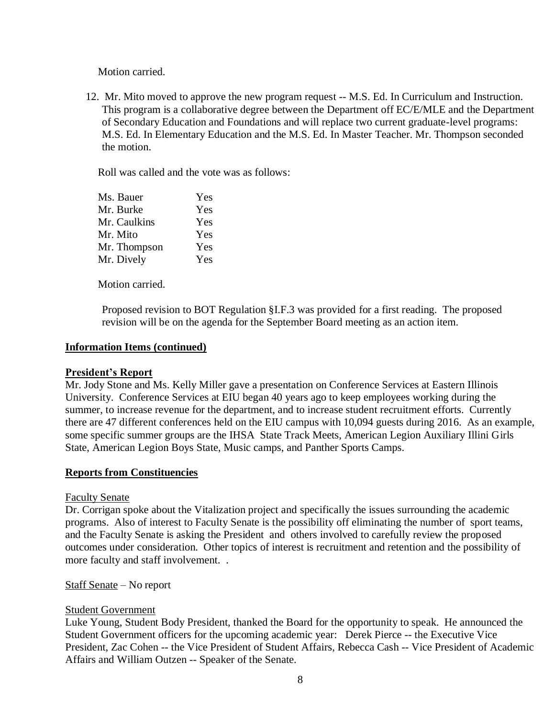Motion carried.

12. Mr. Mito moved to approve the new program request -- M.S. Ed. In Curriculum and Instruction. This program is a collaborative degree between the Department off EC/E/MLE and the Department of Secondary Education and Foundations and will replace two current graduate-level programs: M.S. Ed. In Elementary Education and the M.S. Ed. In Master Teacher. Mr. Thompson seconded the motion.

Roll was called and the vote was as follows:

| Yes |
|-----|
| Yes |
| Yes |
| Yes |
| Yes |
| Yes |
|     |

Motion carried.

Proposed revision to BOT Regulation §I.F.3 was provided for a first reading. The proposed revision will be on the agenda for the September Board meeting as an action item.

## **Information Items (continued)**

## **President's Report**

Mr. Jody Stone and Ms. Kelly Miller gave a presentation on Conference Services at Eastern Illinois University. Conference Services at EIU began 40 years ago to keep employees working during the summer, to increase revenue for the department, and to increase student recruitment efforts. Currently there are 47 different conferences held on the EIU campus with 10,094 guests during 2016. As an example, some specific summer groups are the IHSA State Track Meets, American Legion Auxiliary Illini Girls State, American Legion Boys State, Music camps, and Panther Sports Camps.

## **Reports from Constituencies**

## Faculty Senate

Dr. Corrigan spoke about the Vitalization project and specifically the issues surrounding the academic programs. Also of interest to Faculty Senate is the possibility off eliminating the number of sport teams, and the Faculty Senate is asking the President and others involved to carefully review the proposed outcomes under consideration. Other topics of interest is recruitment and retention and the possibility of more faculty and staff involvement. .

## Staff Senate – No report

## Student Government

Luke Young, Student Body President, thanked the Board for the opportunity to speak. He announced the Student Government officers for the upcoming academic year: Derek Pierce -- the Executive Vice President, Zac Cohen -- the Vice President of Student Affairs, Rebecca Cash -- Vice President of Academic Affairs and William Outzen -- Speaker of the Senate.